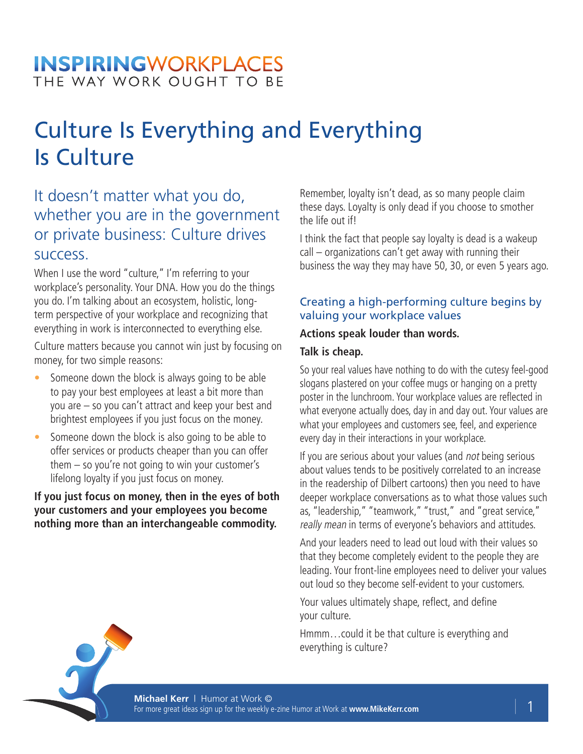# Culture Is Everything and Everything Is Culture

### It doesn't matter what you do, whether you are in the government or private business: Culture drives success.

When I use the word "culture," I'm referring to your workplace's personality. Your DNA. How you do the things you do. I'm talking about an ecosystem, holistic, longterm perspective of your workplace and recognizing that everything in work is interconnected to everything else.

Culture matters because you cannot win just by focusing on money, for two simple reasons:

- Someone down the block is always going to be able to pay your best employees at least a bit more than you are – so you can't attract and keep your best and brightest employees if you just focus on the money.
- Someone down the block is also going to be able to offer services or products cheaper than you can offer them – so you're not going to win your customer's lifelong loyalty if you just focus on money.

**If you just focus on money, then in the eyes of both your customers and your employees you become nothing more than an interchangeable commodity.** 

Remember, loyalty isn't dead, as so many people claim these days. Loyalty is only dead if you choose to smother the life out if!

I think the fact that people say loyalty is dead is a wakeup call – organizations can't get away with running their business the way they may have 50, 30, or even 5 years ago.

#### Creating a high-performing culture begins by valuing your workplace values

#### **Actions speak louder than words.**

#### **Talk is cheap.**

So your real values have nothing to do with the cutesy feel-good slogans plastered on your coffee mugs or hanging on a pretty poster in the lunchroom. Your workplace values are reflected in what everyone actually does, day in and day out. Your values are what your employees and customers see, feel, and experience every day in their interactions in your workplace.

If you are serious about your values (and not being serious about values tends to be positively correlated to an increase in the readership of Dilbert cartoons) then you need to have deeper workplace conversations as to what those values such as, "leadership," "teamwork," "trust," and "great service," really mean in terms of everyone's behaviors and attitudes.

And your leaders need to lead out loud with their values so that they become completely evident to the people they are leading. Your front-line employees need to deliver your values out loud so they become self-evident to your customers.

Your values ultimately shape, reflect, and define your culture.

Hmmm…could it be that culture is everything and everything is culture?



**Michael Kerr** | Humor at Work © For more great ideas sign up for the weekly e-zine Humor at Work at **www.MikeKerr.com** | 1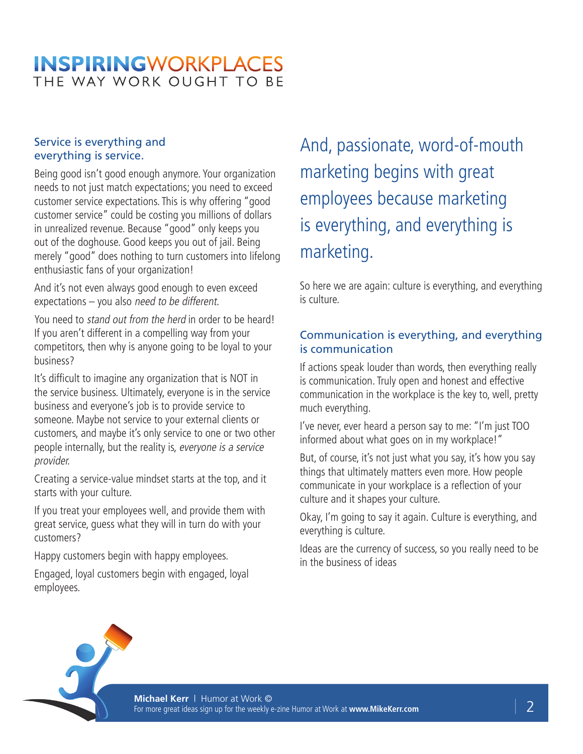#### Service is everything and everything is service.

Being good isn't good enough anymore. Your organization needs to not just match expectations; you need to exceed customer service expectations. This is why offering "good customer service" could be costing you millions of dollars in unrealized revenue. Because "good" only keeps you out of the doghouse. Good keeps you out of jail. Being merely "good" does nothing to turn customers into lifelong enthusiastic fans of your organization!

And it's not even always good enough to even exceed expectations – you also need to be different.

You need to stand out from the herd in order to be heard! If you aren't different in a compelling way from your competitors, then why is anyone going to be loyal to your business?

It's difficult to imagine any organization that is NOT in the service business. Ultimately, everyone is in the service business and everyone's job is to provide service to someone. Maybe not service to your external clients or customers, and maybe it's only service to one or two other people internally, but the reality is, everyone is a service provider.

Creating a service-value mindset starts at the top, and it starts with your culture.

If you treat your employees well, and provide them with great service, guess what they will in turn do with your customers?

Happy customers begin with happy employees.

Engaged, loyal customers begin with engaged, loyal employees.

## And, passionate, word-of-mouth marketing begins with great employees because marketing is everything, and everything is marketing.

So here we are again: culture is everything, and everything is culture.

#### Communication is everything, and everything is communication

If actions speak louder than words, then everything really is communication. Truly open and honest and effective communication in the workplace is the key to, well, pretty much everything.

I've never, ever heard a person say to me: "I'm just TOO informed about what goes on in my workplace!"

But, of course, it's not just what you say, it's how you say things that ultimately matters even more. How people communicate in your workplace is a reflection of your culture and it shapes your culture.

Okay, I'm going to say it again. Culture is everything, and everything is culture.

Ideas are the currency of success, so you really need to be in the business of ideas



**Michael Kerr** | Humor at Work © For more great ideas sign up for the weekly e-zine Humor at Work at **www.MikeKerr.com** | 2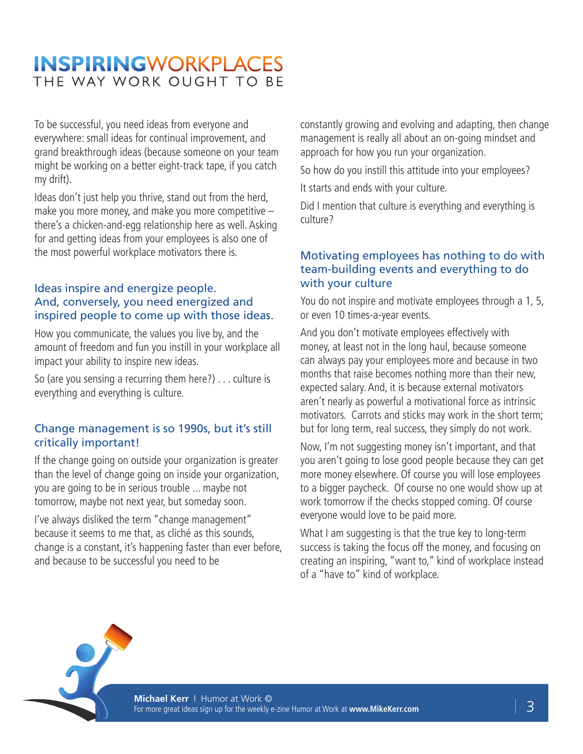To be successful, you need ideas from everyone and everywhere: small ideas for continual improvement, and grand breakthrough ideas (because someone on your team might be working on a better eight-track tape, if you catch my drift).

Ideas don't just help you thrive, stand out from the herd, make you more money, and make you more competitive – there's a chicken-and-egg relationship here as well. Asking for and getting ideas from your employees is also one of the most powerful workplace motivators there is.

#### Ideas inspire and energize people. And, conversely, you need energized and inspired people to come up with those ideas.

How you communicate, the values you live by, and the amount of freedom and fun you instill in your workplace all impact your ability to inspire new ideas.

So (are you sensing a recurring them here?) . . . culture is everything and everything is culture.

#### Change management is so 1990s, but it's still critically important!

If the change going on outside your organization is greater than the level of change going on inside your organization, you are going to be in serious trouble ... maybe not tomorrow, maybe not next year, but someday soon.

I've always disliked the term "change management" because it seems to me that, as cliché as this sounds, change is a constant, it's happening faster than ever before, and because to be successful you need to be

constantly growing and evolving and adapting, then change management is really all about an on-going mindset and approach for how you run your organization.

So how do you instill this attitude into your employees?

It starts and ends with your culture.

Did I mention that culture is everything and everything is culture?

#### Motivating employees has nothing to do with team-building events and everything to do with your culture

You do not inspire and motivate employees through a 1, 5, or even 10 times-a-year events.

And you don't motivate employees effectively with money, at least not in the long haul, because someone can always pay your employees more and because in two months that raise becomes nothing more than their new, expected salary. And, it is because external motivators aren't nearly as powerful a motivational force as intrinsic motivators. Carrots and sticks may work in the short term; but for long term, real success, they simply do not work.

Now, I'm not suggesting money isn't important, and that you aren't going to lose good people because they can get more money elsewhere. Of course you will lose employees to a bigger paycheck. Of course no one would show up at work tomorrow if the checks stopped coming. Of course everyone would love to be paid more.

What I am suggesting is that the true key to long-term success is taking the focus off the money, and focusing on creating an inspiring, "want to," kind of workplace instead of a "have to" kind of workplace.

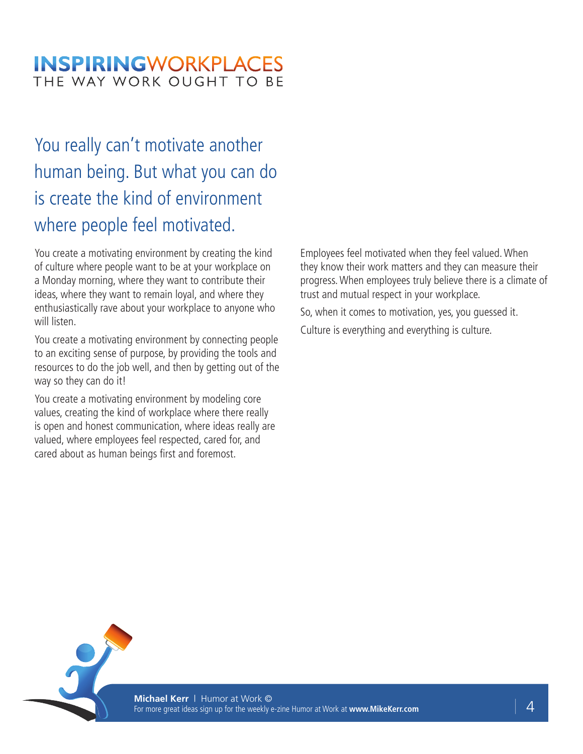## You really can't motivate another human being. But what you can do is create the kind of environment where people feel motivated.

You create a motivating environment by creating the kind of culture where people want to be at your workplace on a Monday morning, where they want to contribute their ideas, where they want to remain loyal, and where they enthusiastically rave about your workplace to anyone who will listen.

You create a motivating environment by connecting people to an exciting sense of purpose, by providing the tools and resources to do the job well, and then by getting out of the way so they can do it!

You create a motivating environment by modeling core values, creating the kind of workplace where there really is open and honest communication, where ideas really are valued, where employees feel respected, cared for, and cared about as human beings first and foremost.

Employees feel motivated when they feel valued. When they know their work matters and they can measure their progress. When employees truly believe there is a climate of trust and mutual respect in your workplace.

So, when it comes to motivation, yes, you guessed it. Culture is everything and everything is culture.



**Michael Kerr** | Humor at Work © For more great ideas sign up for the weekly e-zine Humor at Work at **www.MikeKerr.com** | 4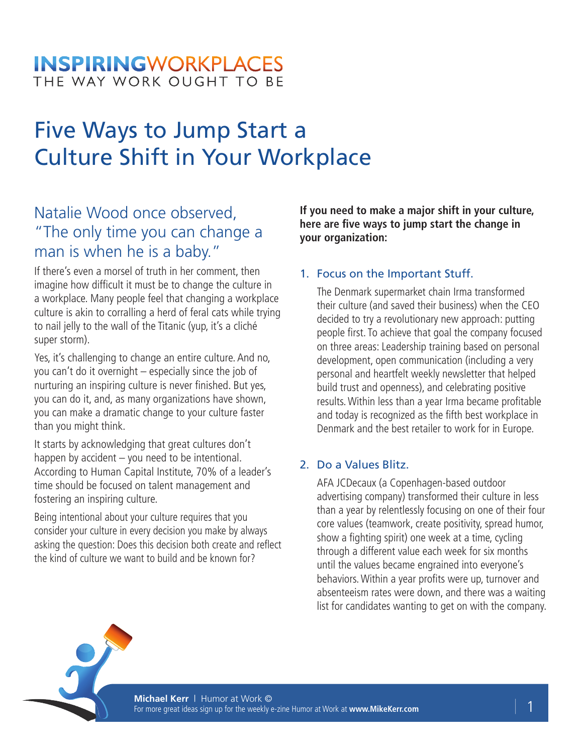## Five Ways to Jump Start a Culture Shift in Your Workplace

## Natalie Wood once observed, "The only time you can change a man is when he is a baby."

If there's even a morsel of truth in her comment, then imagine how difficult it must be to change the culture in a workplace. Many people feel that changing a workplace culture is akin to corralling a herd of feral cats while trying to nail jelly to the wall of the Titanic (yup, it's a cliché super storm).

Yes, it's challenging to change an entire culture. And no, you can't do it overnight – especially since the job of nurturing an inspiring culture is never finished. But yes, you can do it, and, as many organizations have shown, you can make a dramatic change to your culture faster than you might think.

It starts by acknowledging that great cultures don't happen by accident – you need to be intentional. According to Human Capital Institute, 70% of a leader's time should be focused on talent management and fostering an inspiring culture.

Being intentional about your culture requires that you consider your culture in every decision you make by always asking the question: Does this decision both create and reflect the kind of culture we want to build and be known for?

**If you need to make a major shift in your culture, here are five ways to jump start the change in your organization:**

#### 1. Focus on the Important Stuff.

The Denmark supermarket chain Irma transformed their culture (and saved their business) when the CEO decided to try a revolutionary new approach: putting people first. To achieve that goal the company focused on three areas: Leadership training based on personal development, open communication (including a very personal and heartfelt weekly newsletter that helped build trust and openness), and celebrating positive results. Within less than a year Irma became profitable and today is recognized as the fifth best workplace in Denmark and the best retailer to work for in Europe.

#### 2. Do a Values Blitz.

AFA JCDecaux (a Copenhagen-based outdoor advertising company) transformed their culture in less than a year by relentlessly focusing on one of their four core values (teamwork, create positivity, spread humor, show a fighting spirit) one week at a time, cycling through a different value each week for six months until the values became engrained into everyone's behaviors. Within a year profits were up, turnover and absenteeism rates were down, and there was a waiting list for candidates wanting to get on with the company.